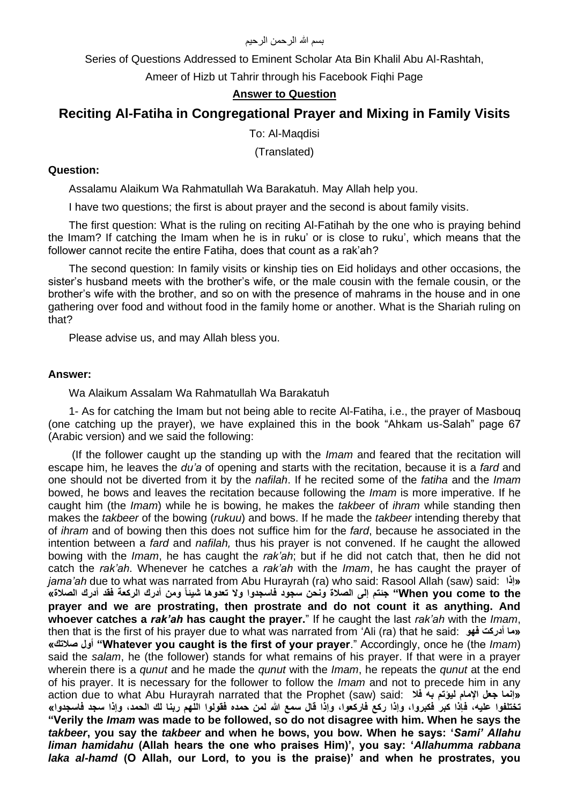#### بسم الله الرحمن الرحيم

Series of Questions Addressed to Eminent Scholar Ata Bin Khalil Abu Al-Rashtah,

Ameer of Hizb ut Tahrir through his Facebook Fiqhi Page

# **Answer to Question**

# **Reciting Al-Fatiha in Congregational Prayer and Mixing in Family Visits**

To: Al-Maqdisi

(Translated)

### **Question:**

Assalamu Alaikum Wa Rahmatullah Wa Barakatuh. May Allah help you.

I have two questions; the first is about prayer and the second is about family visits.

The first question: What is the ruling on reciting Al-Fatihah by the one who is praying behind the Imam? If catching the Imam when he is in ruku' or is close to ruku', which means that the follower cannot recite the entire Fatiha, does that count as a rak'ah?

The second question: In family visits or kinship ties on Eid holidays and other occasions, the sister's husband meets with the brother's wife, or the male cousin with the female cousin, or the brother's wife with the brother, and so on with the presence of mahrams in the house and in one gathering over food and without food in the family home or another. What is the Shariah ruling on that?

Please advise us, and may Allah bless you.

## **Answer:**

Wa Alaikum Assalam Wa Rahmatullah Wa Barakatuh

1- As for catching the Imam but not being able to recite Al-Fatiha, i.e., the prayer of Masbouq (one catching up the prayer), we have explained this in the book "Ahkam us-Salah" page 67 (Arabic version) and we said the following:

(If the follower caught up the standing up with the *Imam* and feared that the recitation will escape him, he leaves the *du'a* of opening and starts with the recitation, because it is a *fard* and one should not be diverted from it by the *nafilah*. If he recited some of the *fatiha* and the *Imam*  bowed, he bows and leaves the recitation because following the *Imam* is more imperative. If he caught him (the *Imam*) while he is bowing, he makes the *takbeer* of *ihram* while standing then makes the *takbeer* of the bowing (*rukuu*) and bows. If he made the *takbeer* intending thereby that of *ihram* and of bowing then this does not suffice him for the *fard*, because he associated in the intention between a *fard* and *nafilah,* thus his prayer is not convened. If he caught the allowed bowing with the *Imam*, he has caught the *rak'ah*; but if he did not catch that, then he did not catch the *rak'ah*. Whenever he catches a *rak'ah* with the *Imam*, he has caught the prayer of *jama'ah* due to what was narrated from Abu Hurayrah (ra) who said: Rasool Allah (saw) said: **إذا» the to come you When "جئتم إلى الصالة ونحن سجود فاسجدوا وال تعدوها شيئاً ومن أدرك الركعة فقد أدرك الصالة« prayer and we are prostrating, then prostrate and do not count it as anything. And whoever catches a** *rak'ah* **has caught the prayer.**" If he caught the last *rak'ah* with the *Imam*, then that is the first of his prayer due to what was narrated from 'Ali (ra) that he said: **فهو أدركت ما» »صالتك أول" Whatever you caught is the first of your prayer**." Accordingly, once he (the *Imam*) said the *salam*, he (the follower) stands for what remains of his prayer. If that were in a prayer wherein there is a *qunut* and he made the *qunut* with the *Imam*, he repeats the *qunut* at the end of his prayer. It is necessary for the follower to follow the *Imam* and not to precede him in any action due to what Abu Hurayrah narrated that the Prophet (saw) said: **فال به ليؤتم اإلمام جعل إنما» تختلفوا عليه، فإذا كبر فكبروا، وإذا ركع فاركعوا، وإذا قال سمع هللا لمن حمده فقولوا اللهم ربنا لك الحمد، وإذا سجد فاسجدوا« "Verily the** *Imam* **was made to be followed, so do not disagree with him. When he says the**  *takbeer***, you say the** *takbeer* **and when he bows, you bow. When he says: '***Sami' Allahu liman hamidahu* **(Allah hears the one who praises Him)', you say: '***Allahumma rabbana laka al-hamd* **(O Allah, our Lord, to you is the praise)' and when he prostrates, you**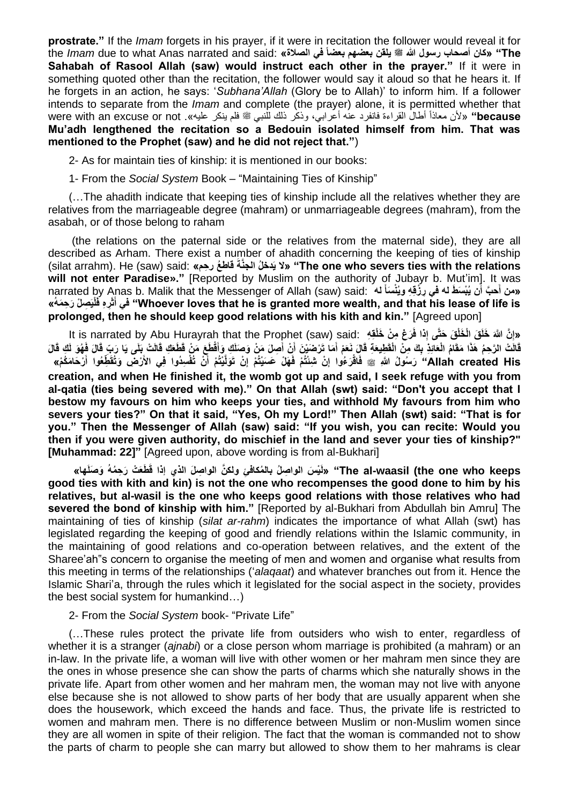**prostrate."** If the *Imam* forgets in his prayer, if it were in recitation the follower would reveal it for  **The« "كان أصحاب رسول هللا صلى الله عليه وسلم يلقن بعضهم بعضاً في الصالة«** :said and narrated Anas what to due *Imam* the **Sahabah of Rasool Allah (saw) would instruct each other in the prayer."** If it were in something quoted other than the recitation, the follower would say it aloud so that he hears it. If he forgets in an action, he says: '*Subhana'Allah* (Glory be to Allah)' to inform him. If a follower intends to separate from the *Imam* and complete (the prayer) alone, it is permitted whether that because» «لأن معاذاً أطال القراءة فانفرد عنه أعرابي، وذكر ذلك للنبي ﷺ فلم ينكر عليه». were with an excuse or not **Mu'adh lengthened the recitation so a Bedouin isolated himself from him. That was mentioned to the Prophet (saw) and he did not reject that."**)

2- As for maintain ties of kinship: it is mentioned in our books:

1- From the *Social System* Book – "Maintaining Ties of Kinship"

(…The ahadith indicate that keeping ties of kinship include all the relatives whether they are relatives from the marriageable degree (mahram) or unmarriageable degrees (mahram), from the asabah, or of those belong to raham

(the relations on the paternal side or the relatives from the maternal side), they are all described as Arham. There exist a number of ahadith concerning the keeping of ties of kinship (silat arrahm). He (saw) said: **»حمِ ر عُ قاط َةَّالجن لُ دخَي ال" »The one who severs ties with the relations**  will not enter Paradise»." [Reported by Muslim on the authority of Jubayr b. Mut'im]. It was narrated by Anas b. Malik that the Messenger of Allah (saw) said: سمن أَحبَّ أَن يُبْسَطَ له في رِزْقِهِ ويُنْسَأَ له **َ لْيَ ِص ْل َر ِح َمهُ« ِر ِه فَ ثَ أ في" Whoever loves that he is granted more wealth, and that his lease of life is َ prolonged, then he should keep good relations with his kith and kin."** [Agreed upon]

lt is narrated by Abu Hurayrah that the Prophet (saw) said: «إِنَّ اللَّهَ خَلَقَ الْخَلْقَ حَتَّى إِذا فَرَغ مِنْ خَلْقِهِ [said: الله قَالَتْ الرَّحِمُ هَذَا مَقَامُ الْعَائِذِ بِكَ مِنْ الْقَطِيعَةِ قَالَ نَعَمْ أَمَا تَرْضَيْنَ أَنْ أَصِلَ مَنْ وَصَلَكِ وَأَقْطَعَ مَنْ قَطَعَكِ قَالَتْ بِلَى يَا رَبِّ قَالَ فَهُوَ لَكٍ قَالَ **َ َ َ َ** Allah created His" رَسُولُ اللَهِ ﷺ فَاقْرَعُوا إِنْ شِئْتُمْ فَهَلْ حَسَيْتُمْ إِنْ تَوَلَّيْتُمْ أَنْ تُفْسِدُوا فِي الأَرْضَ وَتُقَطِّعُوا أَرْحَامَكُمْ» **َ َ ِ ِ creation, and when He finished it, the womb got up and said, I seek refuge with you from al-qatia (ties being severed with me)." On that Allah (swt) said: "Don't you accept that I bestow my favours on him who keeps your ties, and withhold My favours from him who severs your ties?" On that it said, "Yes, Oh my Lord!" Then Allah (swt) said: "That is for you." Then the Messenger of Allah (saw) said: "If you wish, you can recite: Would you then if you were given authority, do mischief in the land and sever your ties of kinship?" [Muhammad: 22]"** [Agreed upon, above wording is from al-Bukhari]

The al-waasil (the one who keeps'' «لَيْسَ الواصِلُ بِالْمُكافَئِ وِلكنَّ الواصِلَ الذي إذا قَطَعَتْ رَحِمُهُ وَصَلَها» **good ties with kith and kin) is not the one who recompenses the good done to him by his relatives, but al-wasil is the one who keeps good relations with those relatives who had severed the bond of kinship with him."** [Reported by al-Bukhari from Abdullah bin Amru] The maintaining of ties of kinship (*silat ar-rahm*) indicates the importance of what Allah (swt) has legislated regarding the keeping of good and friendly relations within the Islamic community, in the maintaining of good relations and co-operation between relatives, and the extent of the Sharee'ah"s concern to organise the meeting of men and women and organise what results from this meeting in terms of the relationships ('*alaqaat*) and whatever branches out from it. Hence the Islamic Shari'a, through the rules which it legislated for the social aspect in the society, provides the best social system for humankind…)

2- From the *Social System* book- "Private Life"

(…These rules protect the private life from outsiders who wish to enter, regardless of whether it is a stranger (*ajnabi*) or a close person whom marriage is prohibited (a mahram) or an in-law. In the private life, a woman will live with other women or her mahram men since they are the ones in whose presence she can show the parts of charms which she naturally shows in the private life. Apart from other women and her mahram men, the woman may not live with anyone else because she is not allowed to show parts of her body that are usually apparent when she does the housework, which exceed the hands and face. Thus, the private life is restricted to women and mahram men. There is no difference between Muslim or non-Muslim women since they are all women in spite of their religion. The fact that the woman is commanded not to show the parts of charm to people she can marry but allowed to show them to her mahrams is clear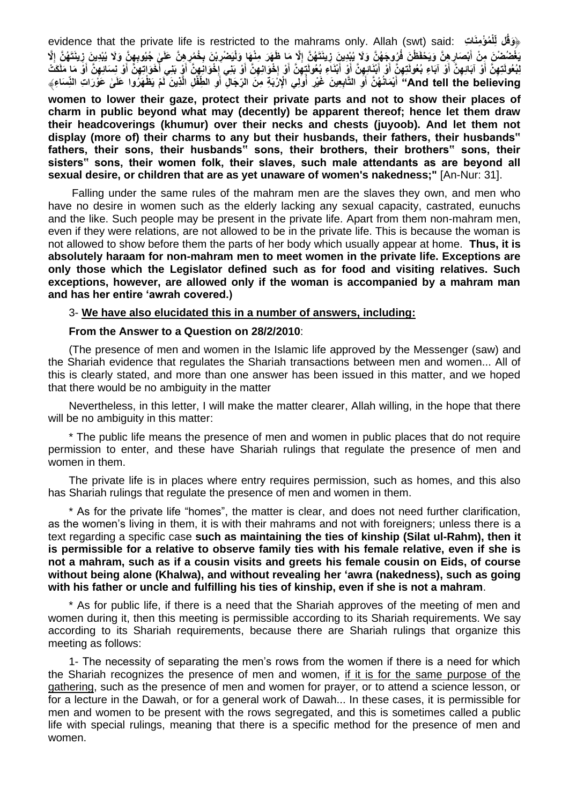evidence that the private life is restricted to the mahrams only. Allah (swt) said: **تِ اَمنِ ؤْ مُ ل** ﴿ **َوقُل ِل ْ** يَغْضُضِنْ مِنْ أَبْصَارِ هِنَّ وَيَحْفَظْنَ فُرُوجَهُنَّ وَلَا يُبْدِينَ زِينَتَهُنَّ إِلَّا مَا ظَهَرَ مِنْهَا وَلْيَصْرِيْنَ بِخُمُرٍهِنَّ عَلَىٰ جُيُوبِهِنَّ وَلَا يُبْدِينَ زِينَتَهُنَّ إِلَّا **ِ ِ** لِبُعُولَتِهِنَّ أَوْ آبَائِهِنَّ أَوْ آبَاءِ بُعُولَتِهِنَّ أَوْ أَبْنَائِهِنَّ أَوْ أَبْنَاءِ بُعُولَتٍهِنَّ أَوْ إخْوَانِهِنَّ أَوْ إخْوَانِهِنَّ أَوْ إخْوانِهِنَّ أَوْ إخْوانِهِنَّ أَوْ إخْوانِهِنَّ أَوْ بَنِي إِخْوَان And tell the believing'' أَيْمَانُهُنَّ أَوِ التَّابِعِينَ غَيْرِ أُولِي الْإِزْبَةِ مِنَ الرِّجَالِ أَوِ الطِّفْلِ الَّذِينَ لَمْ يَظْهَرُوا عَلَىٰ عَوَّرَاتِ النِّسَاءِ﴾ **َ َ َ**

**women to lower their gaze, protect their private parts and not to show their places of charm in public beyond what may (decently) be apparent thereof; hence let them draw their headcoverings (khumur) over their necks and chests (juyoob). And let them not display (more of) their charms to any but their husbands, their fathers, their husbands" fathers, their sons, their husbands" sons, their brothers, their brothers" sons, their sisters" sons, their women folk, their slaves, such male attendants as are beyond all sexual desire, or children that are as yet unaware of women's nakedness;"** [An-Nur: 31].

Falling under the same rules of the mahram men are the slaves they own, and men who have no desire in women such as the elderly lacking any sexual capacity, castrated, eunuchs and the like. Such people may be present in the private life. Apart from them non-mahram men, even if they were relations, are not allowed to be in the private life. This is because the woman is not allowed to show before them the parts of her body which usually appear at home. **Thus, it is absolutely haraam for non-mahram men to meet women in the private life. Exceptions are only those which the Legislator defined such as for food and visiting relatives. Such exceptions, however, are allowed only if the woman is accompanied by a mahram man and has her entire 'awrah covered.)**

3- **We have also elucidated this in a number of answers, including:**

#### **From the Answer to a Question on 28/2/2010**:

(The presence of men and women in the Islamic life approved by the Messenger (saw) and the Shariah evidence that regulates the Shariah transactions between men and women... All of this is clearly stated, and more than one answer has been issued in this matter, and we hoped that there would be no ambiguity in the matter

Nevertheless, in this letter, I will make the matter clearer, Allah willing, in the hope that there will be no ambiguity in this matter:

\* The public life means the presence of men and women in public places that do not require permission to enter, and these have Shariah rulings that regulate the presence of men and women in them.

The private life is in places where entry requires permission, such as homes, and this also has Shariah rulings that regulate the presence of men and women in them.

\* As for the private life "homes", the matter is clear, and does not need further clarification, as the women's living in them, it is with their mahrams and not with foreigners; unless there is a text regarding a specific case **such as maintaining the ties of kinship (Silat ul-Rahm), then it is permissible for a relative to observe family ties with his female relative, even if she is not a mahram, such as if a cousin visits and greets his female cousin on Eids, of course without being alone (Khalwa), and without revealing her 'awra (nakedness), such as going with his father or uncle and fulfilling his ties of kinship, even if she is not a mahram**.

\* As for public life, if there is a need that the Shariah approves of the meeting of men and women during it, then this meeting is permissible according to its Shariah requirements. We say according to its Shariah requirements, because there are Shariah rulings that organize this meeting as follows:

1- The necessity of separating the men's rows from the women if there is a need for which the Shariah recognizes the presence of men and women, if it is for the same purpose of the gathering, such as the presence of men and women for prayer, or to attend a science lesson, or for a lecture in the Dawah, or for a general work of Dawah... In these cases, it is permissible for men and women to be present with the rows segregated, and this is sometimes called a public life with special rulings, meaning that there is a specific method for the presence of men and women.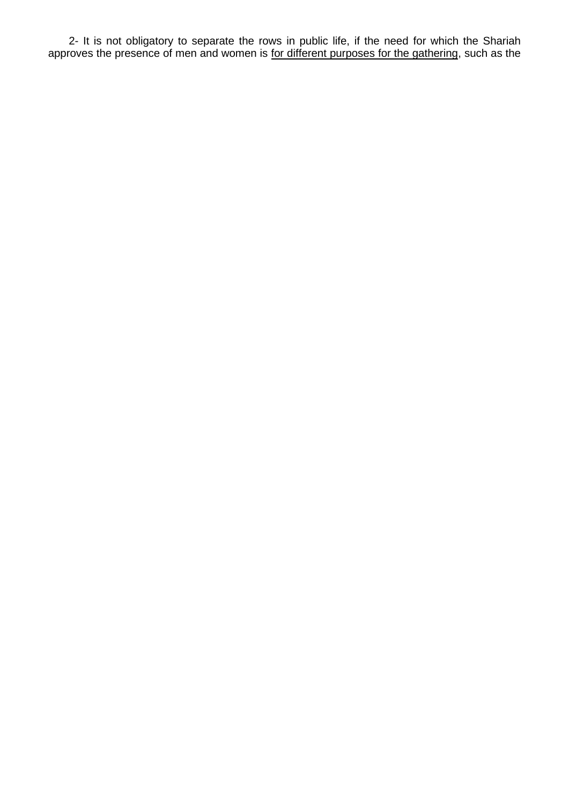2- It is not obligatory to separate the rows in public life, if the need for which the Shariah approves the presence of men and women is for different purposes for the gathering, such as the